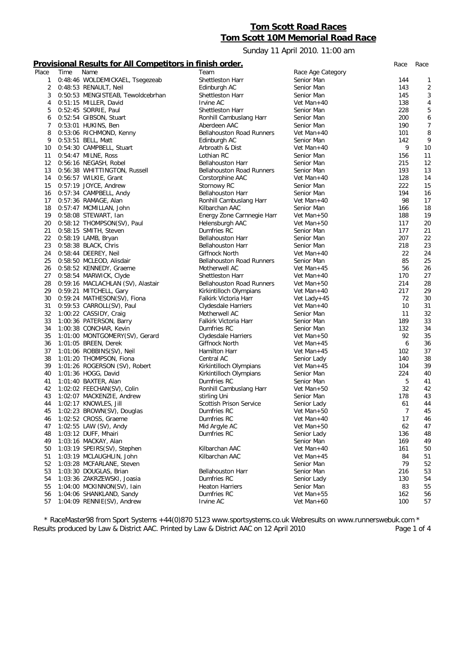# **Tom Scott Road Races Tom Scott 10M Memorial Road Race**

Sunday 11 April 2010. 11:00 am

### **Provisional Results for All Competitors in finish order.** *Race Race*

|       |      | .                                 | .                                |                   |                |                  |
|-------|------|-----------------------------------|----------------------------------|-------------------|----------------|------------------|
| Place | Time | Name                              | Team                             | Race Age Category |                |                  |
| 1     |      | 0:48:46 WOLDEMICKAEL, Tsegezeab   | Shettleston Harr                 | Senior Man        | 144            | 1                |
| 2     |      | 0:48:53 RENAULT, Neil             | Edinburgh AC                     | Senior Man        | 143            | $\sqrt{2}$       |
| 3     |      | 0:50:53 MENGISTEAB, Tewoldcebrhan | <b>Shettleston Harr</b>          | Senior Man        | 145            | 3                |
| 4     |      | 0:51:15 MILLER, David             | Irvine AC                        | Vet Man+40        | 138            | 4                |
| 5     |      | 0:52:45 SORRIE, Paul              | Shettleston Harr                 | Senior Man        | 228            | 5                |
| 6     |      | 0:52:54 GIBSON, Stuart            | Ronhill Cambuslang Harr          | Senior Man        | 200            | 6                |
| 7     |      | 0:53:01 HUKINS, Ben               | Aberdeen AAC                     | Senior Man        | 190            | $\boldsymbol{7}$ |
| 8     |      | 0:53:06 RICHMOND, Kenny           | <b>Bellahouston Road Runners</b> | Vet Man+40        | 101            | 8                |
| 9     |      |                                   |                                  | Senior Man        | 142            | 9                |
|       |      | 0:53:51 BELL, Matt                | Edinburgh AC                     | Vet Man $+40$     | 9              |                  |
| 10    |      | 0:54:30 CAMPBELL, Stuart          | Arbroath & Dist                  |                   |                | 10               |
| 11    |      | 0:54:47 MILNE, Ross               | Lothian RC                       | Senior Man        | 156            | 11               |
| 12    |      | 0:56:16 NEGASH, Robel             | <b>Bellahouston Harr</b>         | Senior Man        | 215            | 12               |
| 13    |      | 0:56:38 WHITTINGTON, Russell      | <b>Bellahouston Road Runners</b> | Senior Man        | 193            | 13               |
| 14    |      | 0:56:57 WILKIE, Grant             | Corstorphine AAC                 | Vet Man $+40$     | 128            | 14               |
| 15    |      | 0:57:19 JOYCE, Andrew             | Stornowy RC                      | Senior Man        | 222            | 15               |
| 16    |      | 0:57:34 CAMPBELL, Andy            | <b>Bellahouston Harr</b>         | Senior Man        | 194            | 16               |
| 17    |      | 0:57:36 RAMAGE, Alan              | Ronhill Cambuslang Harr          | Vet Man+40        | 98             | 17               |
| 18    |      | 0:57:47 MCMILLAN, John            | Kilbarchan AAC                   | Senior Man        | 166            | 18               |
| 19    |      | 0:58:08 STEWART, Ian              | Energy Zone Carnnegie Harr       | Vet Man+50        | 188            | 19               |
| 20    |      | 0:58:12 THOMPSON(SV), Paul        | Helensburgh AAC                  | Vet Man+50        | 117            | 20               |
| 21    |      | 0:58:15 SMITH, Steven             | Dumfries RC                      | Senior Man        | 177            | 21               |
| 22    |      | 0:58:19 LAMB, Bryan               | <b>Bellahouston Harr</b>         | Senior Man        | 207            | 22               |
| 23    |      | 0:58:38 BLACK, Chris              | <b>Bellahouston Harr</b>         | Senior Man        | 218            | 23               |
| 24    |      | 0:58:44 DEEREY, Neil              | Giffnock North                   | Vet Man+40        | 22             | 24               |
| 25    |      | 0:58:50 MCLEOD, Alisdair          | <b>Bellahouston Road Runners</b> | Senior Man        | 85             | 25               |
| 26    |      | 0:58:52 KENNEDY, Graeme           | Motherwell AC                    | Vet Man+45        | 56             | 26               |
| 27    |      | 0:58:54 MARWICK, Clyde            | <b>Shettleston Harr</b>          | Vet Man+40        | 170            | 27               |
| 28    |      | 0:59:16 MACLACHLAN (SV), Alastair | <b>Bellahouston Road Runners</b> | Vet Man+50        | 214            | 28               |
| 29    |      | 0:59:21 MITCHELL, Gary            | Kirkintilloch Olympians          | Vet Man+40        | 217            | 29               |
| 30    |      | 0:59:24 MATHESON(SV), Fiona       | Falkirk Victoria Harr            | Vet Lady+45       | 72             | 30               |
| 31    |      | 0:59:53 CARROLL(SV), Paul         | Clydesdale Harriers              | Vet Man+40        | 10             | 31               |
| 32    |      | 1:00:22 CASSIDY, Craig            | Motherwell AC                    | Senior Man        | 11             | 32               |
| 33    |      | 1:00:36 PATERSON, Barry           | Falkirk Victoria Harr            | Senior Man        | 189            | 33               |
| 34    |      | 1:00:38 CONCHAR, Kevin            | Dumfries RC                      | Senior Man        | 132            | 34               |
| 35    |      | 1:01:00 MONTGOMERY(SV), Gerard    | Clydesdale Harriers              | Vet Man+50        | 92             | 35               |
| 36    |      | 1:01:05 BREEN, Derek              | Giffnock North                   | Vet Man+45        | 6              | 36               |
| 37    |      | 1:01:06 ROBBINS(SV), Neil         | Hamilton Harr                    | Vet Man+45        | 102            | 37               |
| 38    |      | 1:01:20 THOMPSON, Fiona           |                                  |                   | 140            | 38               |
|       |      |                                   | Central AC                       | Senior Lady       |                | 39               |
| 39    |      | 1:01:26 ROGERSON (SV), Robert     | Kirkintilloch Olympians          | Vet Man+45        | 104            |                  |
| 40    |      | 1:01:36 HOGG, David               | Kirkintilloch Olympians          | Senior Man        | 224            | 40               |
| 41    |      | 1:01:40 BAXTER, Alan              | Dumfries RC                      | Senior Man        | 5              | 41               |
| 42    |      | 1:02:02 FEECHAN(SV), Colin        | Ronhill Cambuslang Harr          | Vet Man+50        | 32             | 42               |
| 43    |      | 1:02:07 MACKENZIE, Andrew         | stirling Uni                     | Senior Man        | 178            | 43               |
| 44    |      | 1:02:17 KNOWLES, Jill             | Scottish Prison Service          | Senior Lady       | 61             | 44               |
| 45    |      | 1:02:23 BROWN(SV), Douglas        | Dumfries RC                      | Vet Man+50        | $\overline{7}$ | 45               |
| 46    |      | 1:02:52 CROSS, Graeme             | Dumfries RC                      | Vet Man+40        | 17             | 46               |
| 47    |      | 1:02:55 LAW (SV), Andy            | Mid Argyle AC                    | Vet Man+50        | 62             | 47               |
| 48    |      | 1:03:12 DUFF, Mhairi              | Dumfries RC                      | Senior Lady       | 136            | 48               |
| 49    |      | 1:03:16 MACKAY, Alan              |                                  | Senior Man        | 169            | 49               |
| 50    |      | 1:03:19 SPEIRS(SV), Stephen       | Kilbarchan AAC                   | Vet Man+40        | 161            | 50               |
| 51    |      | 1:03:19 MCLAUGHLIN, John          | Kilbarchan AAC                   | Vet Man+45        | 84             | 51               |
| 52    |      | 1:03:28 MCFARLANE, Steven         |                                  | Senior Man        | 79             | 52               |
| 53    |      | 1:03:30 DOUGLAS, Brian            | <b>Bellahouston Harr</b>         | Senior Man        | 216            | 53               |
| 54    |      | 1:03:36 ZAKRZEWSKI, Joasia        | Dumfries RC                      | Senior Lady       | 130            | 54               |
| 55    |      | 1:04:00 MCKINNON(SV), lain        | <b>Heaton Harriers</b>           | Senior Man        | 83             | 55               |
| 56    |      | 1:04:06 SHANKLAND, Sandy          | Dumfries RC                      | Vet Man+55        | 162            | 56               |
| 57    |      | 1:04:09 RENNIE(SV), Andrew        | Irvine AC                        | Vet Man+60        | 100            | 57               |
|       |      |                                   |                                  |                   |                |                  |

*\* RaceMaster98 from Sport Systems +44(0)870 5123 www.sportsystems.co.uk Webresults on www.runnerswebuk.com \** Results produced by Law & District AAC. Printed by Law & District AAC on 12 April 2010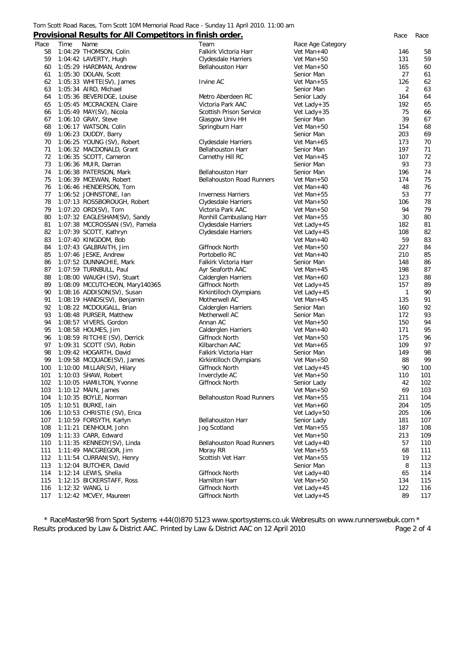#### Tom Scott Road Races, Tom Scott 10M Memorial Road Race - Sunday 11 April 2010. 11:00 am

### **Provisional Results for All Competitors in finish order.** *Race Race*

|       |      | <u>I TOVISIONAL RESARS TOF AIR COMPETITORS IN TIMISH OF ACT.</u> |                                  |                   |              | nacc |
|-------|------|------------------------------------------------------------------|----------------------------------|-------------------|--------------|------|
| Place | Time | Name                                                             | Team                             | Race Age Category |              |      |
| 58    |      | 1:04:29 THOMSON, Colin                                           | Falkirk Victoria Harr            | Vet Man+40        | 146          | 58   |
| 59    |      | 1:04:42 LAVERTY, Hugh                                            | Clydesdale Harriers              | Vet Man+50        | 131          | 59   |
|       |      |                                                                  |                                  |                   | 165          | 60   |
| 60    |      | 1:05:29 HARDMAN, Andrew                                          | <b>Bellahouston Harr</b>         | Vet Man+50        |              |      |
| 61    |      | 1:05:30 DOLAN, Scott                                             |                                  | Senior Man        | 27           | 61   |
| 62    |      | 1:05:33 WHITE(SV), James                                         | Irvine AC                        | Vet Man+55        | 126          | 62   |
| 63    |      | 1:05:34 AIRD, Michael                                            |                                  | Senior Man        | 2            | 63   |
| 64    |      | 1:05:36 BEVERIDGE, Louise                                        | Metro Aberdeen RC                | Senior Lady       | 164          | 64   |
| 65    |      | 1:05:45 MCCRACKEN, Claire                                        | Victoria Park AAC                | Vet Lady + $35$   | 192          | 65   |
| 66    |      | 1:05:49 MAY(SV), Nicola                                          | Scottish Prison Service          | Vet Lady + $35$   | 75           | 66   |
| 67    |      | 1:06:10 GRAY, Steve                                              | Glasgow Univ HH                  | Senior Man        | 39           | 67   |
| 68    |      | 1:06:17 WATSON, Colin                                            | Springburn Harr                  | Vet Man+50        | 154          | 68   |
| 69    |      | 1:06:23 DUDDY, Barry                                             |                                  | Senior Man        | 203          | 69   |
| 70    |      | 1:06:25 YOUNG (SV), Robert                                       | Clydesdale Harriers              | Vet Man+65        | 173          | 70   |
|       |      |                                                                  |                                  |                   |              |      |
| 71    |      | 1:06:32 MACDONALD, Grant                                         | <b>Bellahouston Harr</b>         | Senior Man        | 197          | 71   |
| 72    |      | 1:06:35 SCOTT, Cameron                                           | Carnethy Hill RC                 | Vet Man+45        | 107          | 72   |
| 73    |      | 1:06:36 MUIR, Darran                                             |                                  | Senior Man        | 93           | 73   |
| 74    |      | 1:06:38 PATERSON, Mark                                           | <b>Bellahouston Harr</b>         | Senior Man        | 196          | 74   |
| 75    |      | 1:06:39 MCEWAN, Robert                                           | <b>Bellahouston Road Runners</b> | Vet Man+50        | 174          | 75   |
| 76    |      | 1:06:46 HENDERSON, Tom                                           |                                  | Vet Man+40        | 48           | 76   |
| 77    |      | 1:06:52 JOHNSTONE, Ian                                           | <b>Inverness Harriers</b>        | Vet Man+55        | 53           | 77   |
| 78    |      | 1:07:13 ROSSBOROUGH, Robert                                      | Clydesdale Harriers              | Vet Man+50        | 106          | 78   |
| 79    |      | 1:07:20 ORD(SV), Tom                                             | Victoria Park AAC                | Vet Man+50        | 94           | 79   |
| 80    |      | 1:07:32 EAGLESHAM(SV), Sandy                                     | Ronhill Cambuslang Harr          | Vet Man+55        | 30           | 80   |
| 81    |      | 1:07:38 MCCROSSAN (SV), Pamela                                   |                                  |                   | 182          | 81   |
|       |      |                                                                  | Clydesdale Harriers              | Vet Lady+45       |              |      |
| 82    |      | 1:07:39 SCOTT, Kathryn                                           | Clydesdale Harriers              | Vet Lady+45       | 108          | 82   |
| 83    |      | 1:07:40 KINGDOM, Bob                                             |                                  | Vet Man+40        | 59           | 83   |
| 84    |      | 1:07:43 GALBRAITH, Jim                                           | Giffnock North                   | Vet Man+50        | 227          | 84   |
| 85    |      | 1:07:46 JESKE, Andrew                                            | Portobello RC                    | Vet Man+40        | 210          | 85   |
| 86    |      | 1:07:52 DUNNACHIE, Mark                                          | Falkirk Victoria Harr            | Senior Man        | 148          | 86   |
| 87    |      | 1:07:59 TURNBULL, Paul                                           | Ayr Seaforth AAC                 | Vet Man+45        | 198          | 87   |
| 88    |      | 1:08:00 WAUGH (SV), Stuart                                       | Calderglen Harriers              | Vet Man+60        | 123          | 88   |
| 89    |      | 1:08:09 MCCUTCHEON, Mary140365                                   | Giffnock North                   | Vet Lady+45       | 157          | 89   |
| 90    |      | 1:08:16 ADDISON(SV), Susan                                       | Kirkintilloch Olympians          | Vet Lady+45       | $\mathbf{1}$ | 90   |
| 91    |      | 1:08:19 HANDS(SV), Benjamin                                      | Motherwell AC                    | Vet Man+45        | 135          | 91   |
|       |      |                                                                  |                                  |                   |              |      |
| 92    |      | 1:08:22 MCDOUGALL, Brian                                         | Calderglen Harriers              | Senior Man        | 160          | 92   |
| 93    |      | 1:08:48 PURSER, Matthew                                          | Motherwell AC                    | Senior Man        | 172          | 93   |
| 94    |      | 1:08:57 VIVERS, Gordon                                           | Annan AC                         | Vet Man+50        | 150          | 94   |
| 95    |      | 1:08:58 HOLMES, Jim                                              | Calderglen Harriers              | Vet Man+40        | 171          | 95   |
| 96    |      | 1:08:59 RITCHIE (SV), Derrick                                    | Giffnock North                   | Vet Man+50        | 175          | 96   |
| 97    |      | 1:09:31 SCOTT (SV), Robin                                        | Kilbarchan AAC                   | Vet Man+65        | 109          | 97   |
| 98    |      | 1:09:42 HOGARTH, David                                           | Falkirk Victoria Harr            | Senior Man        | 149          | 98   |
| 99    |      | 1:09:58 MCQUADE(SV), James                                       | Kirkintilloch Olympians          | Vet Man+50        | 88           | 99   |
| 100   |      | 1:10:00 MILLAR(SV), Hilary                                       | Giffnock North                   | Vet Lady+45       | 90           | 100  |
| 101   |      | 1:10:03 SHAW, Robert                                             | Inverclyde AC                    | Vet Man+50        | 110          | 101  |
| 102   |      | 1:10:05 HAMILTON, Yvonne                                         | Giffnock North                   | Senior Lady       | 42           | 102  |
|       |      |                                                                  |                                  |                   |              |      |
| 103   |      | $1:10:12$ MAIN, James                                            |                                  | Vet Man+50        | 69           | 103  |
| 104   |      | 1:10:35 BOYLE, Norman                                            | <b>Bellahouston Road Runners</b> | Vet Man+55        | 211          | 104  |
| 105   |      | 1:10:51 BURKE, Iain                                              |                                  | Vet Man+60        | 204          | 105  |
| 106   |      | 1:10:53 CHRISTIE (SV), Erica                                     |                                  | Vet Lady $+50$    | 205          | 106  |
| 107   |      | 1:10:59 FORSYTH, Karlyn                                          | Bellahouston Harr                | Senior Lady       | 181          | 107  |
| 108   |      | 1:11:21 DENHOLM, John                                            | Jog Scotland                     | Vet Man+55        | 187          | 108  |
| 109   |      | 1:11:33 CARR, Edward                                             |                                  | Vet Man+50        | 213          | 109  |
| 110   |      | 1:11:35 KENNEDY(SV), Linda                                       | <b>Bellahouston Road Runners</b> | Vet Lady+40       | 57           | 110  |
| 111   |      | 1:11:49 MACGREGOR, Jim                                           | Moray RR                         | Vet Man+55        | 68           | 111  |
| 112   |      | 1:11:54 CURRAN(SV), Henry                                        | Scottish Vet Harr                | Vet Man+55        | 19           | 112  |
|       |      | 1:12:04 BUTCHER, David                                           |                                  |                   |              |      |
| 113   |      |                                                                  |                                  | Senior Man        | 8            | 113  |
| 114   |      | 1:12:14 LEWIS, Shelia                                            | Giffnock North                   | Vet Lady+40       | 65           | 114  |
| 115   |      | 1:12:15 BICKERSTAFF, Ross                                        | Hamilton Harr                    | Vet Man+50        | 134          | 115  |
| 116   |      | 1:12:32 WANG, Li                                                 | Giffnock North                   | Vet Lady+45       | 122          | 116  |
| 117   |      | 1:12:42 MCVEY, Maureen                                           | Giffnock North                   | Vet Lady+45       | 89           | 117  |
|       |      |                                                                  |                                  |                   |              |      |

*\* RaceMaster98 from Sport Systems +44(0)870 5123 www.sportsystems.co.uk Webresults on www.runnerswebuk.com \** Results produced by Law & District AAC. Printed by Law & District AAC on 12 April 2010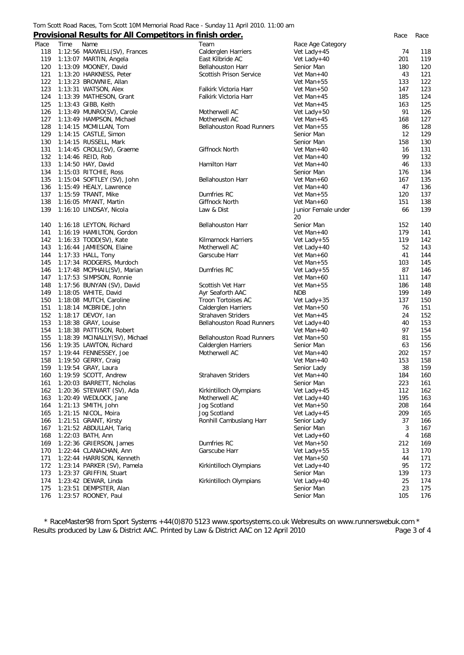#### Tom Scott Road Races, Tom Scott 10M Memorial Road Race - Sunday 11 April 2010. 11:00 am

## **Provisional Results for All Competitors in finish order.** *Race Race*

|       |      | <u>Frovisional Results for All competitors in illustrolated.</u> |                                  |                     | nace | nace |
|-------|------|------------------------------------------------------------------|----------------------------------|---------------------|------|------|
| Place | Time | Name                                                             | Team                             | Race Age Category   |      |      |
| 118   |      | 1:12:56 MAXWELL(SV), Frances                                     | Calderglen Harriers              | Vet Lady+45         | 74   | 118  |
| 119   |      | 1:13:07 MARTIN, Angela                                           | East Kilbride AC                 | Vet Lady+40         | 201  | 119  |
| 120   |      | 1:13:09 MOONEY, David                                            | <b>Bellahouston Harr</b>         | Senior Man          | 180  | 120  |
| 121   |      | 1:13:20 HARKNESS, Peter                                          | Scottish Prison Service          | Vet Man+40          | 43   | 121  |
| 122   |      | 1:13:23 BROWNIE, Allan                                           |                                  | Vet Man+55          | 133  | 122  |
| 123   |      | 1:13:31 WATSON, Alex                                             | Falkirk Victoria Harr            | Vet Man+50          | 147  | 123  |
| 124   |      | 1:13:39 MATHESON, Grant                                          | Falkirk Victoria Harr            | Vet Man+45          | 185  | 124  |
| 125   |      | 1:13:43 GIBB, Keith                                              |                                  | Vet Man+45          | 163  | 125  |
| 126   |      | 1:13:49 MUNRO(SV), Carole                                        | Motherwell AC                    | Vet Lady+50         | 91   | 126  |
| 127   |      | 1:13:49 HAMPSON, Michael                                         | Motherwell AC                    | Vet Man+45          | 168  | 127  |
| 128   |      | 1:14:15 MCMILLAN, Tom                                            | <b>Bellahouston Road Runners</b> | Vet Man+55          | 86   | 128  |
| 129   |      | 1:14:15 CASTLE, Simon                                            |                                  | Senior Man          | 12   | 129  |
| 130   |      | 1:14:15 RUSSELL, Mark                                            |                                  | Senior Man          | 158  | 130  |
| 131   |      | 1:14:45 CROLL(SV), Graeme                                        | Giffnock North                   | Vet Man+40          | 16   | 131  |
| 132   |      | 1:14:46 REID, Rob                                                |                                  | Vet Man+40          | 99   | 132  |
| 133   |      | 1:14:50 HAY, David                                               | Hamilton Harr                    | Vet Man+40          | 46   | 133  |
| 134   |      | 1:15:03 RITCHIE, Ross                                            |                                  | Senior Man          | 176  | 134  |
| 135   |      |                                                                  |                                  |                     | 167  | 135  |
|       |      | 1:15:04 SOFTLEY (SV), John                                       | <b>Bellahouston Harr</b>         | Vet Man+60          |      |      |
| 136   |      | 1:15:49 HEALY, Lawrence                                          |                                  | Vet Man+40          | 47   | 136  |
| 137   |      | 1:15:59 TRANT, Mike                                              | Dumfries RC                      | Vet Man+55          | 120  | 137  |
| 138   |      | 1:16:05 MYANT, Martin                                            | Giffnock North                   | Vet Man+60          | 151  | 138  |
| 139   |      | 1:16:10 LINDSAY, Nicola                                          | Law & Dist                       | Junior Female under | 66   | 139  |
|       |      |                                                                  |                                  | 20                  |      |      |
| 140   |      | 1:16:18 LEYTON, Richard                                          | Bellahouston Harr                | Senior Man          | 152  | 140  |
| 141   |      | 1:16:19 HAMILTON, Gordon                                         |                                  | Vet Man+40          | 179  | 141  |
| 142   |      | 1:16:33 TODD(SV), Kate                                           | <b>Kilmarnock Harriers</b>       | Vet Lady+55         | 119  | 142  |
| 143   |      | 1:16:44 JAMIESON, Elaine                                         | Motherwell AC                    | Vet Lady+40         | 52   | 143  |
| 144   |      | 1:17:33 HALL, Tony                                               | Garscube Harr                    | Vet Man+60          | 41   | 144  |
| 145   |      | 1:17:34 RODGERS, Murdoch                                         |                                  | Vet Man+55          | 103  | 145  |
| 146   |      | 1:17:48 MCPHAIL(SV), Marian                                      | Dumfries RC                      | Vet Lady+55         | 87   | 146  |
| 147   |      | 1:17:53 SIMPSON, Ronnie                                          |                                  | Vet Man+60          | 111  | 147  |
| 148   |      | 1:17:56 BUNYAN (SV), David                                       | Scottish Vet Harr                | Vet Man+55          | 186  | 148  |
| 149   |      | 1:18:05 WHITE, David                                             | Ayr Seaforth AAC                 | <b>NDB</b>          | 199  | 149  |
| 150   |      | 1:18:08 MUTCH, Caroline                                          | Troon Tortoises AC               | Vet Lady + $35$     | 137  | 150  |
| 151   |      | 1:18:14 MCBRIDE, John                                            | Calderglen Harriers              | Vet Man+50          | 76   | 151  |
| 152   |      | 1:18:17 DEVOY, Ian                                               | <b>Strahaven Striders</b>        | Vet Man+45          | 24   | 152  |
| 153   |      | 1:18:38 GRAY, Louise                                             | <b>Bellahouston Road Runners</b> | Vet Lady+40         | 40   | 153  |
| 154   |      | 1:18:38 PATTISON, Robert                                         |                                  | Vet Man+40          | 97   | 154  |
| 155   |      | 1:18:39 MCINALLY(SV), Michael                                    | <b>Bellahouston Road Runners</b> | Vet Man+50          | 81   | 155  |
| 156   |      | 1:19:35 LAWTON, Richard                                          | Calderglen Harriers              | Senior Man          | 63   | 156  |
| 157   |      | 1:19:44 FENNESSEY, Joe                                           | Motherwell AC                    | Vet Man+40          | 202  | 157  |
| 158   |      | 1:19:50 GERRY, Craig                                             |                                  | Vet Man+40          | 153  | 158  |
| 159   |      | 1:19:54 GRAY, Laura                                              |                                  | Senior Lady         | 38   | 159  |
| 160   |      | 1:19:59 SCOTT, Andrew                                            | <b>Strahaven Striders</b>        | Vet Man+40          | 184  | 160  |
| 161   |      | 1:20:03 BARRETT, Nicholas                                        |                                  | Senior Man          | 223  | 161  |
|       |      | 1:20:36 STEWART (SV), Ada                                        |                                  |                     | 112  | 162  |
| 162   |      |                                                                  | Kirkintilloch Olympians          | Vet Lady+45         |      |      |
| 163   |      | 1:20:49 WEDLOCK, Jane                                            | Motherwell AC                    | Vet Lady+40         | 195  | 163  |
| 164   |      | 1:21:13 SMITH, John                                              | Jog Scotland                     | Vet Man+50          | 208  | 164  |
| 165   |      | 1:21:15 NICOL, Moira                                             | Jog Scotland                     | Vet Lady+45         | 209  | 165  |
| 166   |      | 1:21:51 GRANT, Kirsty                                            | Ronhill Cambuslang Harr          | Senior Lady         | 37   | 166  |
| 167   |      | 1:21:52 ABDULLAH, Tariq                                          |                                  | Senior Man          | 3    | 167  |
| 168   |      | 1:22:03 BATH, Ann                                                |                                  | Vet Lady+60         | 4    | 168  |
| 169   |      | 1:22:36 GRIERSON, James                                          | Dumfries RC                      | Vet Man+50          | 212  | 169  |
| 170   |      | 1:22:44 CLANACHAN, Ann                                           | Garscube Harr                    | Vet Lady+55         | 13   | 170  |
| 171   |      | 1:22:44 HARRISON, Kenneth                                        |                                  | Vet Man+50          | 44   | 171  |
| 172   |      | 1:23:14 PARKER (SV), Pamela                                      | Kirkintilloch Olympians          | Vet Lady+40         | 95   | 172  |
| 173   |      | 1:23:37 GRIFFIN, Stuart                                          |                                  | Senior Man          | 139  | 173  |
| 174   |      | 1:23:42 DEWAR, Linda                                             | Kirkintilloch Olympians          | Vet Lady+40         | 25   | 174  |
| 175   |      | 1:23:51 DEMPSTER, Alan                                           |                                  | Senior Man          | 23   | 175  |
| 176   |      | 1:23:57 ROONEY, Paul                                             |                                  | Senior Man          | 105  | 176  |
|       |      |                                                                  |                                  |                     |      |      |

*\* RaceMaster98 from Sport Systems +44(0)870 5123 www.sportsystems.co.uk Webresults on www.runnerswebuk.com \** Results produced by Law & District AAC. Printed by Law & District AAC on 12 April 2010 Page 3 of 4